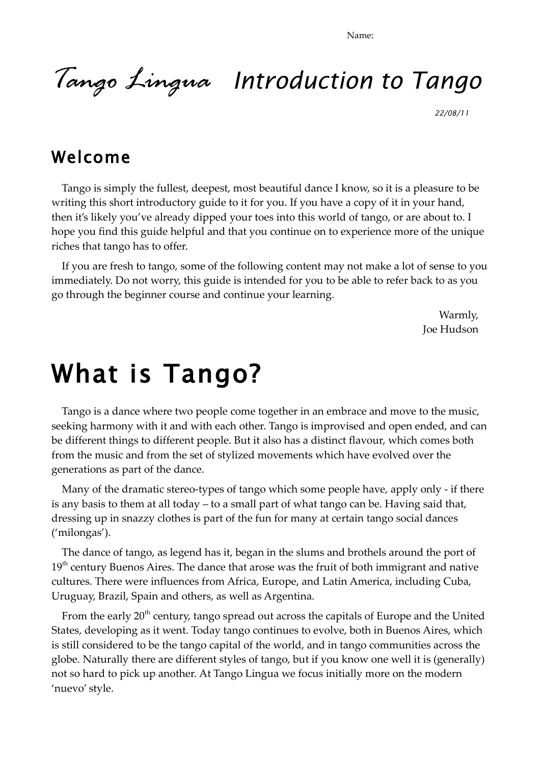Name:

# *Tango Lingua Introduction to Tango*

*22/08/11* 

### Welcome

Tango is simply the fullest, deepest, most beautiful dance I know, so it is a pleasure to be writing this short introductory guide to it for you. If you have a copy of it in your hand, then it's likely you've already dipped your toes into this world of tango, or are about to. I hope you find this guide helpful and that you continue on to experience more of the unique riches that tango has to offer.

If you are fresh to tango, some of the following content may not make a lot of sense to you immediately. Do not worry, this guide is intended for you to be able to refer back to as you go through the beginner course and continue your learning.

> Warmly, Joe Hudson

# What is Tango?

Tango is a dance where two people come together in an embrace and move to the music, seeking harmony with it and with each other. Tango is improvised and open ended, and can be different things to different people. But it also has a distinct flavour, which comes both from the music and from the set of stylized movements which have evolved over the generations as part of the dance.

Many of the dramatic stereo-types of tango which some people have, apply only - if there is any basis to them at all today – to a small part of what tango can be. Having said that, dressing up in snazzy clothes is part of the fun for many at certain tango social dances ('milongas').

The dance of tango, as legend has it, began in the slums and brothels around the port of  $19<sup>th</sup>$  century Buenos Aires. The dance that arose was the fruit of both immigrant and native cultures. There were influences from Africa, Europe, and Latin America, including Cuba, Uruguay, Brazil, Spain and others, as well as Argentina.

From the early  $20<sup>th</sup>$  century, tango spread out across the capitals of Europe and the United States, developing as it went. Today tango continues to evolve, both in Buenos Aires, which is still considered to be the tango capital of the world, and in tango communities across the globe. Naturally there are different styles of tango, but if you know one well it is (generally) not so hard to pick up another. At Tango Lingua we focus initially more on the modern 'nuevo' style.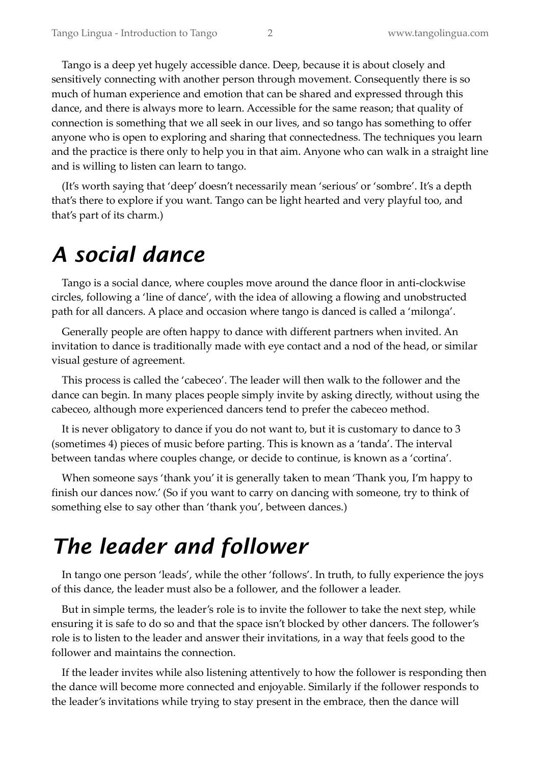Tango is a deep yet hugely accessible dance. Deep, because it is about closely and sensitively connecting with another person through movement. Consequently there is so much of human experience and emotion that can be shared and expressed through this dance, and there is always more to learn. Accessible for the same reason; that quality of connection is something that we all seek in our lives, and so tango has something to offer anyone who is open to exploring and sharing that connectedness. The techniques you learn and the practice is there only to help you in that aim. Anyone who can walk in a straight line and is willing to listen can learn to tango.

(It's worth saying that 'deep' doesn't necessarily mean 'serious' or 'sombre'. It's a depth that's there to explore if you want. Tango can be light hearted and very playful too, and that's part of its charm.)

## *A social dance*

Tango is a social dance, where couples move around the dance floor in anti-clockwise circles, following a 'line of dance', with the idea of allowing a flowing and unobstructed path for all dancers. A place and occasion where tango is danced is called a 'milonga'.

Generally people are often happy to dance with different partners when invited. An invitation to dance is traditionally made with eye contact and a nod of the head, or similar visual gesture of agreement.

This process is called the 'cabeceo'. The leader will then walk to the follower and the dance can begin. In many places people simply invite by asking directly, without using the cabeceo, although more experienced dancers tend to prefer the cabeceo method.

It is never obligatory to dance if you do not want to, but it is customary to dance to 3 (sometimes 4) pieces of music before parting. This is known as a 'tanda'. The interval between tandas where couples change, or decide to continue, is known as a 'cortina'.

When someone says 'thank you' it is generally taken to mean 'Thank you, I'm happy to finish our dances now.' (So if you want to carry on dancing with someone, try to think of something else to say other than 'thank you', between dances.)

## *The leader and follower*

In tango one person 'leads', while the other 'follows'. In truth, to fully experience the joys of this dance, the leader must also be a follower, and the follower a leader.

But in simple terms, the leader's role is to invite the follower to take the next step, while ensuring it is safe to do so and that the space isn't blocked by other dancers. The follower's role is to listen to the leader and answer their invitations, in a way that feels good to the follower and maintains the connection.

If the leader invites while also listening attentively to how the follower is responding then the dance will become more connected and enjoyable. Similarly if the follower responds to the leader's invitations while trying to stay present in the embrace, then the dance will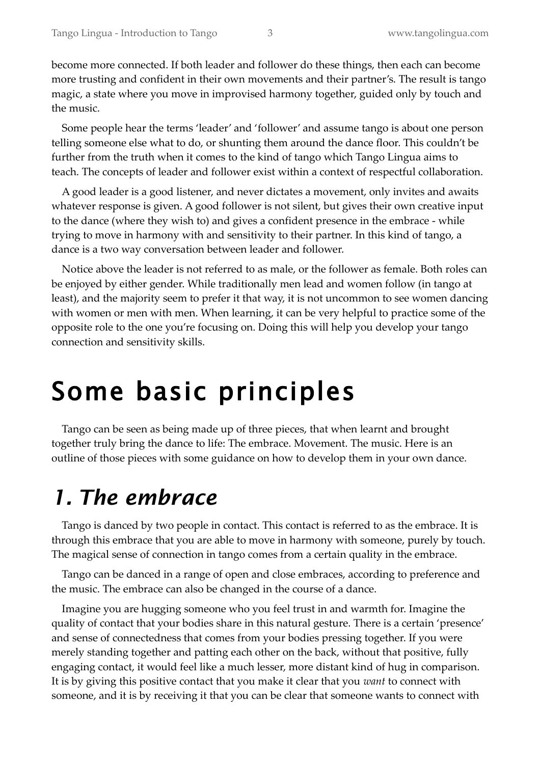become more connected. If both leader and follower do these things, then each can become more trusting and confident in their own movements and their partner's. The result is tango magic, a state where you move in improvised harmony together, guided only by touch and the music.

Some people hear the terms 'leader' and 'follower' and assume tango is about one person telling someone else what to do, or shunting them around the dance floor. This couldn't be further from the truth when it comes to the kind of tango which Tango Lingua aims to teach. The concepts of leader and follower exist within a context of respectful collaboration.

A good leader is a good listener, and never dictates a movement, only invites and awaits whatever response is given. A good follower is not silent, but gives their own creative input to the dance (where they wish to) and gives a confident presence in the embrace - while trying to move in harmony with and sensitivity to their partner. In this kind of tango, a dance is a two way conversation between leader and follower.

Notice above the leader is not referred to as male, or the follower as female. Both roles can be enjoyed by either gender. While traditionally men lead and women follow (in tango at least), and the majority seem to prefer it that way, it is not uncommon to see women dancing with women or men with men. When learning, it can be very helpful to practice some of the opposite role to the one you're focusing on. Doing this will help you develop your tango connection and sensitivity skills.

# Some basic principles

Tango can be seen as being made up of three pieces, that when learnt and brought together truly bring the dance to life: The embrace. Movement. The music. Here is an outline of those pieces with some guidance on how to develop them in your own dance.

## *1. The embrace*

Tango is danced by two people in contact. This contact is referred to as the embrace. It is through this embrace that you are able to move in harmony with someone, purely by touch. The magical sense of connection in tango comes from a certain quality in the embrace.

Tango can be danced in a range of open and close embraces, according to preference and the music. The embrace can also be changed in the course of a dance.

Imagine you are hugging someone who you feel trust in and warmth for. Imagine the quality of contact that your bodies share in this natural gesture. There is a certain 'presence' and sense of connectedness that comes from your bodies pressing together. If you were merely standing together and patting each other on the back, without that positive, fully engaging contact, it would feel like a much lesser, more distant kind of hug in comparison. It is by giving this positive contact that you make it clear that you *want* to connect with someone, and it is by receiving it that you can be clear that someone wants to connect with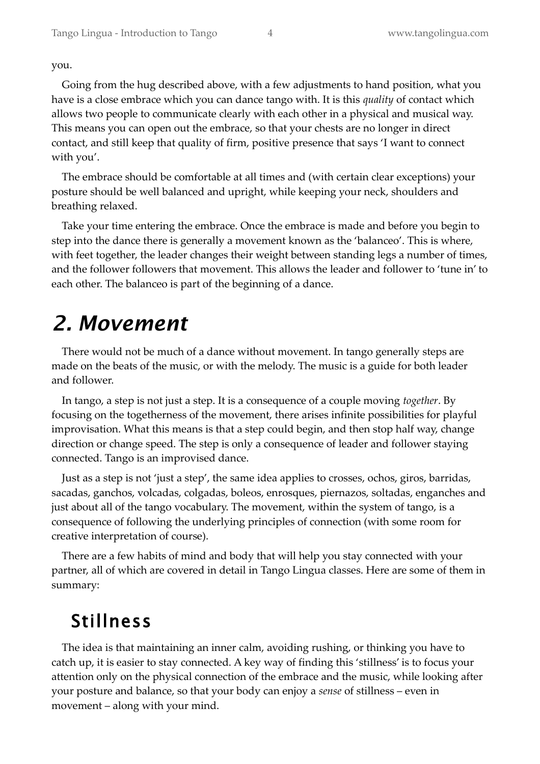you.

Going from the hug described above, with a few adjustments to hand position, what you have is a close embrace which you can dance tango with. It is this *quality* of contact which allows two people to communicate clearly with each other in a physical and musical way. This means you can open out the embrace, so that your chests are no longer in direct contact, and still keep that quality of firm, positive presence that says 'I want to connect with you'.

The embrace should be comfortable at all times and (with certain clear exceptions) your posture should be well balanced and upright, while keeping your neck, shoulders and breathing relaxed.

Take your time entering the embrace. Once the embrace is made and before you begin to step into the dance there is generally a movement known as the 'balanceo'. This is where, with feet together, the leader changes their weight between standing legs a number of times, and the follower followers that movement. This allows the leader and follower to 'tune in' to each other. The balanceo is part of the beginning of a dance.

## *2. Movement*

There would not be much of a dance without movement. In tango generally steps are made on the beats of the music, or with the melody. The music is a guide for both leader and follower.

In tango, a step is not just a step. It is a consequence of a couple moving *together*. By focusing on the togetherness of the movement, there arises infinite possibilities for playful improvisation. What this means is that a step could begin, and then stop half way, change direction or change speed. The step is only a consequence of leader and follower staying connected. Tango is an improvised dance.

Just as a step is not 'just a step', the same idea applies to crosses, ochos, giros, barridas, sacadas, ganchos, volcadas, colgadas, boleos, enrosques, piernazos, soltadas, enganches and just about all of the tango vocabulary. The movement, within the system of tango, is a consequence of following the underlying principles of connection (with some room for creative interpretation of course).

There are a few habits of mind and body that will help you stay connected with your partner, all of which are covered in detail in Tango Lingua classes. Here are some of them in summary:

### Stillness

The idea is that maintaining an inner calm, avoiding rushing, or thinking you have to catch up, it is easier to stay connected. A key way of finding this 'stillness' is to focus your attention only on the physical connection of the embrace and the music, while looking after your posture and balance, so that your body can enjoy a *sense* of stillness – even in movement – along with your mind.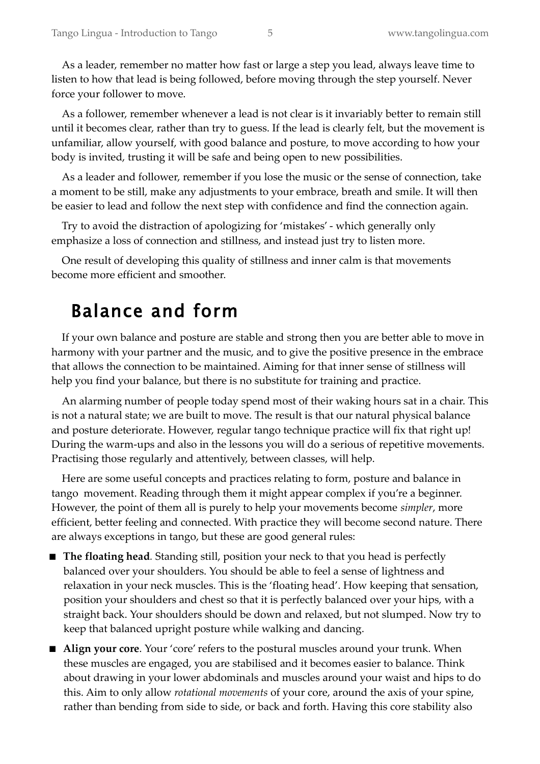As a leader, remember no matter how fast or large a step you lead, always leave time to listen to how that lead is being followed, before moving through the step yourself. Never force your follower to move.

As a follower, remember whenever a lead is not clear is it invariably better to remain still until it becomes clear, rather than try to guess. If the lead is clearly felt, but the movement is unfamiliar, allow yourself, with good balance and posture, to move according to how your body is invited, trusting it will be safe and being open to new possibilities.

As a leader and follower, remember if you lose the music or the sense of connection, take a moment to be still, make any adjustments to your embrace, breath and smile. It will then be easier to lead and follow the next step with confidence and find the connection again.

Try to avoid the distraction of apologizing for 'mistakes' - which generally only emphasize a loss of connection and stillness, and instead just try to listen more.

One result of developing this quality of stillness and inner calm is that movements become more efficient and smoother.

#### Balance and form

If your own balance and posture are stable and strong then you are better able to move in harmony with your partner and the music, and to give the positive presence in the embrace that allows the connection to be maintained. Aiming for that inner sense of stillness will help you find your balance, but there is no substitute for training and practice.

An alarming number of people today spend most of their waking hours sat in a chair. This is not a natural state; we are built to move. The result is that our natural physical balance and posture deteriorate. However, regular tango technique practice will fix that right up! During the warm-ups and also in the lessons you will do a serious of repetitive movements. Practising those regularly and attentively, between classes, will help.

Here are some useful concepts and practices relating to form, posture and balance in tango movement. Reading through them it might appear complex if you're a beginner. However, the point of them all is purely to help your movements become *simpler*, more efficient, better feeling and connected. With practice they will become second nature. There are always exceptions in tango, but these are good general rules:

- **The floating head***.* Standing still, position your neck to that you head is perfectly balanced over your shoulders. You should be able to feel a sense of lightness and relaxation in your neck muscles. This is the 'floating head'. How keeping that sensation, position your shoulders and chest so that it is perfectly balanced over your hips, with a straight back. Your shoulders should be down and relaxed, but not slumped. Now try to keep that balanced upright posture while walking and dancing.
- **Align your core**. Your 'core' refers to the postural muscles around your trunk. When these muscles are engaged, you are stabilised and it becomes easier to balance. Think about drawing in your lower abdominals and muscles around your waist and hips to do this. Aim to only allow *rotational movements* of your core, around the axis of your spine, rather than bending from side to side, or back and forth. Having this core stability also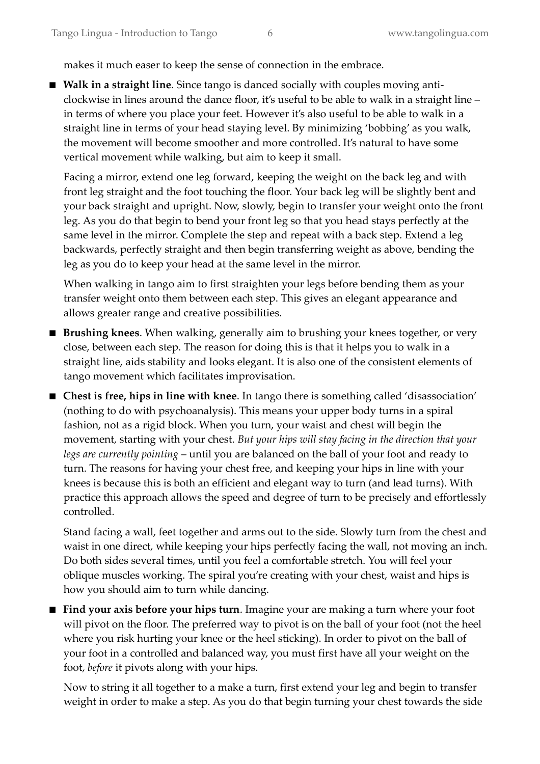makes it much easer to keep the sense of connection in the embrace.

 **Walk in a straight line**. Since tango is danced socially with couples moving anticlockwise in lines around the dance floor, it's useful to be able to walk in a straight line – in terms of where you place your feet. However it's also useful to be able to walk in a straight line in terms of your head staying level. By minimizing 'bobbing' as you walk, the movement will become smoother and more controlled. It's natural to have some vertical movement while walking, but aim to keep it small.

Facing a mirror, extend one leg forward, keeping the weight on the back leg and with front leg straight and the foot touching the floor. Your back leg will be slightly bent and your back straight and upright. Now, slowly, begin to transfer your weight onto the front leg. As you do that begin to bend your front leg so that you head stays perfectly at the same level in the mirror. Complete the step and repeat with a back step. Extend a leg backwards, perfectly straight and then begin transferring weight as above, bending the leg as you do to keep your head at the same level in the mirror.

When walking in tango aim to first straighten your legs before bending them as your transfer weight onto them between each step. This gives an elegant appearance and allows greater range and creative possibilities.

- **Brushing knees**. When walking, generally aim to brushing your knees together, or very close, between each step. The reason for doing this is that it helps you to walk in a straight line, aids stability and looks elegant. It is also one of the consistent elements of tango movement which facilitates improvisation.
- **Chest is free, hips in line with knee**. In tango there is something called 'disassociation' (nothing to do with psychoanalysis). This means your upper body turns in a spiral fashion, not as a rigid block. When you turn, your waist and chest will begin the movement, starting with your chest. *But your hips will stay facing in the direction that your legs are currently pointing* – until you are balanced on the ball of your foot and ready to turn. The reasons for having your chest free, and keeping your hips in line with your knees is because this is both an efficient and elegant way to turn (and lead turns). With practice this approach allows the speed and degree of turn to be precisely and effortlessly controlled.

Stand facing a wall, feet together and arms out to the side. Slowly turn from the chest and waist in one direct, while keeping your hips perfectly facing the wall, not moving an inch. Do both sides several times, until you feel a comfortable stretch. You will feel your oblique muscles working. The spiral you're creating with your chest, waist and hips is how you should aim to turn while dancing.

**Find your axis before your hips turn**. Imagine your are making a turn where your foot will pivot on the floor. The preferred way to pivot is on the ball of your foot (not the heel where you risk hurting your knee or the heel sticking). In order to pivot on the ball of your foot in a controlled and balanced way, you must first have all your weight on the foot, *before* it pivots along with your hips.

Now to string it all together to a make a turn, first extend your leg and begin to transfer weight in order to make a step. As you do that begin turning your chest towards the side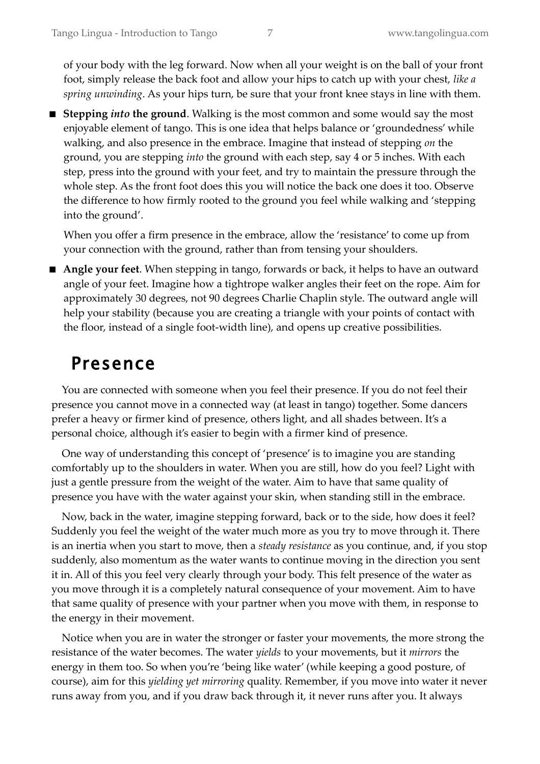of your body with the leg forward. Now when all your weight is on the ball of your front foot, simply release the back foot and allow your hips to catch up with your chest, *like a spring unwinding*. As your hips turn, be sure that your front knee stays in line with them.

■ Stepping *into* the ground. Walking is the most common and some would say the most enjoyable element of tango. This is one idea that helps balance or 'groundedness' while walking, and also presence in the embrace. Imagine that instead of stepping *on* the ground, you are stepping *into* the ground with each step, say 4 or 5 inches. With each step, press into the ground with your feet, and try to maintain the pressure through the whole step. As the front foot does this you will notice the back one does it too. Observe the difference to how firmly rooted to the ground you feel while walking and 'stepping into the ground'.

When you offer a firm presence in the embrace, allow the 'resistance' to come up from your connection with the ground, rather than from tensing your shoulders.

 **Angle your feet**. When stepping in tango, forwards or back, it helps to have an outward angle of your feet. Imagine how a tightrope walker angles their feet on the rope. Aim for approximately 30 degrees, not 90 degrees Charlie Chaplin style. The outward angle will help your stability (because you are creating a triangle with your points of contact with the floor, instead of a single foot-width line), and opens up creative possibilities.

### Presence

You are connected with someone when you feel their presence. If you do not feel their presence you cannot move in a connected way (at least in tango) together. Some dancers prefer a heavy or firmer kind of presence, others light, and all shades between. It's a personal choice, although it's easier to begin with a firmer kind of presence.

One way of understanding this concept of 'presence' is to imagine you are standing comfortably up to the shoulders in water. When you are still, how do you feel? Light with just a gentle pressure from the weight of the water. Aim to have that same quality of presence you have with the water against your skin, when standing still in the embrace.

Now, back in the water, imagine stepping forward, back or to the side, how does it feel? Suddenly you feel the weight of the water much more as you try to move through it. There is an inertia when you start to move, then a *steady resistance* as you continue, and, if you stop suddenly, also momentum as the water wants to continue moving in the direction you sent it in. All of this you feel very clearly through your body. This felt presence of the water as you move through it is a completely natural consequence of your movement. Aim to have that same quality of presence with your partner when you move with them, in response to the energy in their movement.

Notice when you are in water the stronger or faster your movements, the more strong the resistance of the water becomes. The water *yields* to your movements, but it *mirrors* the energy in them too. So when you're 'being like water' (while keeping a good posture, of course), aim for this *yielding yet mirroring* quality. Remember, if you move into water it never runs away from you, and if you draw back through it, it never runs after you. It always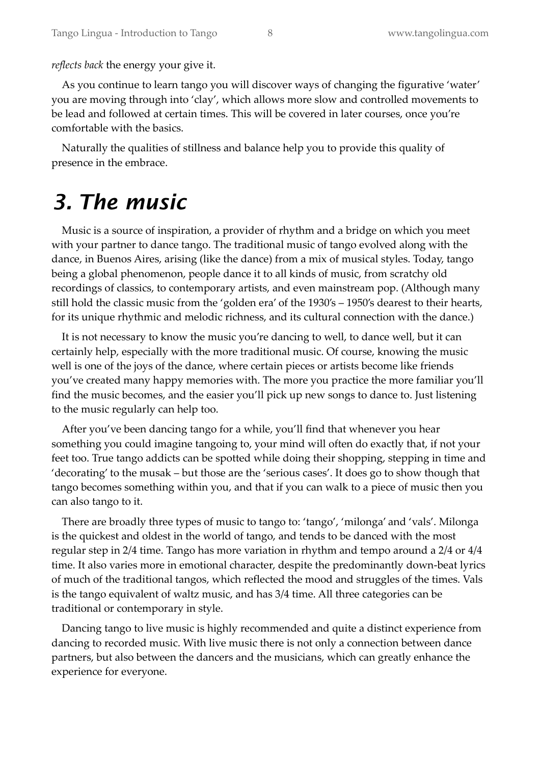*reflects back* the energy your give it.

As you continue to learn tango you will discover ways of changing the figurative 'water' you are moving through into 'clay', which allows more slow and controlled movements to be lead and followed at certain times. This will be covered in later courses, once you're comfortable with the basics.

Naturally the qualities of stillness and balance help you to provide this quality of presence in the embrace.

## *3. The music*

Music is a source of inspiration, a provider of rhythm and a bridge on which you meet with your partner to dance tango. The traditional music of tango evolved along with the dance, in Buenos Aires, arising (like the dance) from a mix of musical styles. Today, tango being a global phenomenon, people dance it to all kinds of music, from scratchy old recordings of classics, to contemporary artists, and even mainstream pop. (Although many still hold the classic music from the 'golden era' of the 1930's – 1950's dearest to their hearts, for its unique rhythmic and melodic richness, and its cultural connection with the dance.)

It is not necessary to know the music you're dancing to well, to dance well, but it can certainly help, especially with the more traditional music. Of course, knowing the music well is one of the joys of the dance, where certain pieces or artists become like friends you've created many happy memories with. The more you practice the more familiar you'll find the music becomes, and the easier you'll pick up new songs to dance to. Just listening to the music regularly can help too.

After you've been dancing tango for a while, you'll find that whenever you hear something you could imagine tangoing to, your mind will often do exactly that, if not your feet too. True tango addicts can be spotted while doing their shopping, stepping in time and 'decorating' to the musak – but those are the 'serious cases'. It does go to show though that tango becomes something within you, and that if you can walk to a piece of music then you can also tango to it.

There are broadly three types of music to tango to: 'tango', 'milonga' and 'vals'. Milonga is the quickest and oldest in the world of tango, and tends to be danced with the most regular step in 2/4 time. Tango has more variation in rhythm and tempo around a 2/4 or 4/4 time. It also varies more in emotional character, despite the predominantly down-beat lyrics of much of the traditional tangos, which reflected the mood and struggles of the times. Vals is the tango equivalent of waltz music, and has 3/4 time. All three categories can be traditional or contemporary in style.

Dancing tango to live music is highly recommended and quite a distinct experience from dancing to recorded music. With live music there is not only a connection between dance partners, but also between the dancers and the musicians, which can greatly enhance the experience for everyone.